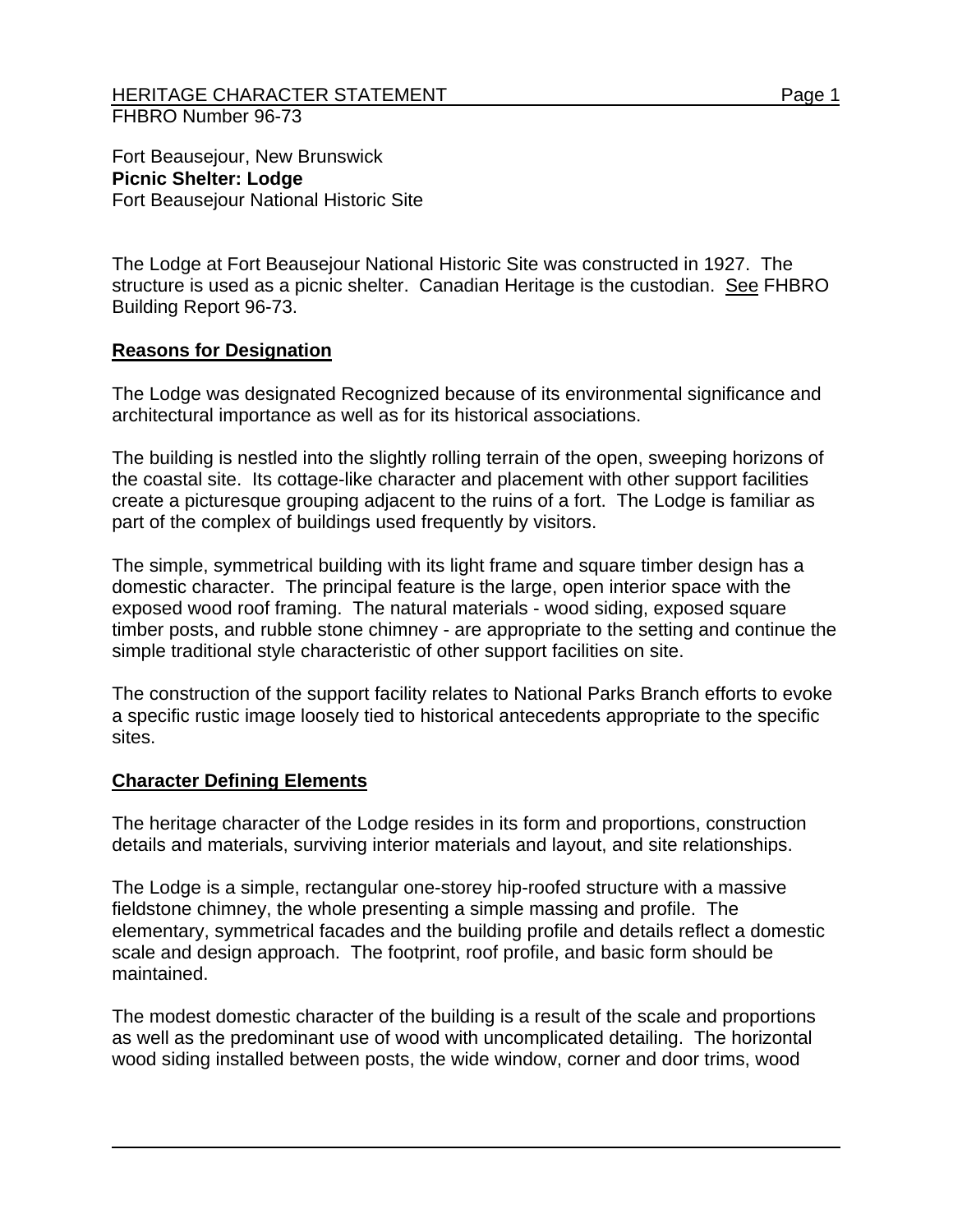## HERITAGE CHARACTER STATEMENT FRAME AND RESERVE THE Page 1 FHBRO Number 96-73

Fort Beausejour, New Brunswick **Picnic Shelter: Lodge**  Fort Beausejour National Historic Site

The Lodge at Fort Beausejour National Historic Site was constructed in 1927. The structure is used as a picnic shelter. Canadian Heritage is the custodian. See FHBRO Building Report 96-73.

## **Reasons for Designation**

The Lodge was designated Recognized because of its environmental significance and architectural importance as well as for its historical associations.

The building is nestled into the slightly rolling terrain of the open, sweeping horizons of the coastal site. Its cottage-like character and placement with other support facilities create a picturesque grouping adjacent to the ruins of a fort. The Lodge is familiar as part of the complex of buildings used frequently by visitors.

The simple, symmetrical building with its light frame and square timber design has a domestic character. The principal feature is the large, open interior space with the exposed wood roof framing. The natural materials - wood siding, exposed square timber posts, and rubble stone chimney - are appropriate to the setting and continue the simple traditional style characteristic of other support facilities on site.

The construction of the support facility relates to National Parks Branch efforts to evoke a specific rustic image loosely tied to historical antecedents appropriate to the specific sites.

## **Character Defining Elements**

The heritage character of the Lodge resides in its form and proportions, construction details and materials, surviving interior materials and layout, and site relationships.

The Lodge is a simple, rectangular one-storey hip-roofed structure with a massive fieldstone chimney, the whole presenting a simple massing and profile. The elementary, symmetrical facades and the building profile and details reflect a domestic scale and design approach. The footprint, roof profile, and basic form should be maintained.

The modest domestic character of the building is a result of the scale and proportions as well as the predominant use of wood with uncomplicated detailing. The horizontal wood siding installed between posts, the wide window, corner and door trims, wood